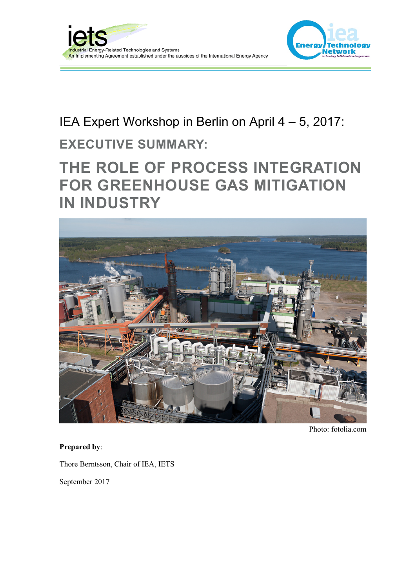



# IEA Expert Workshop in Berlin on April 4 – 5, 2017:

## **EXECUTIVE SUMMARY:**

# **THE ROLE OF PROCESS INTEGRATION FOR GREENHOUSE GAS MITIGATION IN INDUSTRY**



Photo: fotolia.com

#### **Prepared by**:

Thore Berntsson, Chair of IEA, IETS

September 2017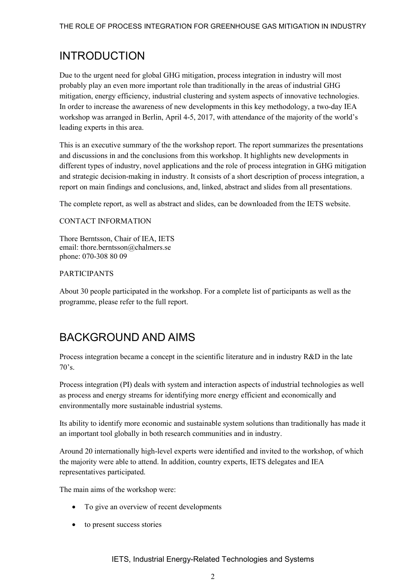### INTRODUCTION

Due to the urgent need for global GHG mitigation, process integration in industry will most probably play an even more important role than traditionally in the areas of industrial GHG mitigation, energy efficiency, industrial clustering and system aspects of innovative technologies. In order to increase the awareness of new developments in this key methodology, a two-day IEA workshop was arranged in Berlin, April 4-5, 2017, with attendance of the majority of the world's leading experts in this area.

This is an executive summary of the the workshop report. The report summarizes the presentations and discussions in and the conclusions from this workshop. It highlights new developments in different types of industry, novel applications and the role of process integration in GHG mitigation and strategic decision-making in industry. It consists of a short description of process integration, a report on main findings and conclusions, and, linked, abstract and slides from all presentations.

The complete report, as well as abstract and slides, can be downloaded from the IETS website.

#### CONTACT INFORMATION

Thore Berntsson, Chair of IEA, IETS email: thore.berntsson@chalmers.se phone: 070-308 80 09

#### PARTICIPANTS

About 30 people participated in the workshop. For a complete list of participants as well as the programme, please refer to the full report.

### BACKGROUND AND AIMS

Process integration became a concept in the scientific literature and in industry R&D in the late  $70's$ .

Process integration (PI) deals with system and interaction aspects of industrial technologies as well as process and energy streams for identifying more energy efficient and economically and environmentally more sustainable industrial systems.

Its ability to identify more economic and sustainable system solutions than traditionally has made it an important tool globally in both research communities and in industry.

Around 20 internationally high-level experts were identified and invited to the workshop, of which the majority were able to attend. In addition, country experts, IETS delegates and IEA representatives participated.

The main aims of the workshop were:

- To give an overview of recent developments
- to present success stories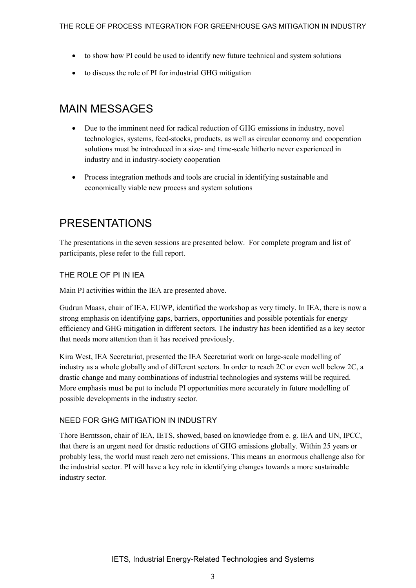- to show how PI could be used to identify new future technical and system solutions
- to discuss the role of PI for industrial GHG mitigation

### MAIN MESSAGES

- Due to the imminent need for radical reduction of GHG emissions in industry, novel technologies, systems, feed-stocks, products, as well as circular economy and cooperation solutions must be introduced in a size- and time-scale hitherto never experienced in industry and in industry-society cooperation
- Process integration methods and tools are crucial in identifying sustainable and economically viable new process and system solutions

### PRESENTATIONS

The presentations in the seven sessions are presented below. For complete program and list of participants, plese refer to the full report.

#### THE ROLE OF PI IN IEA

Main PI activities within the IEA are presented above.

Gudrun Maass, chair of IEA, EUWP, identified the workshop as very timely. In IEA, there is now a strong emphasis on identifying gaps, barriers, opportunities and possible potentials for energy efficiency and GHG mitigation in different sectors. The industry has been identified as a key sector that needs more attention than it has received previously.

Kira West, IEA Secretariat, presented the IEA Secretariat work on large-scale modelling of industry as a whole globally and of different sectors. In order to reach 2C or even well below 2C, a drastic change and many combinations of industrial technologies and systems will be required. More emphasis must be put to include PI opportunities more accurately in future modelling of possible developments in the industry sector.

#### NEED FOR GHG MITIGATION IN INDUSTRY

Thore Berntsson, chair of IEA, IETS, showed, based on knowledge from e. g. IEA and UN, IPCC, that there is an urgent need for drastic reductions of GHG emissions globally. Within 25 years or probably less, the world must reach zero net emissions. This means an enormous challenge also for the industrial sector. PI will have a key role in identifying changes towards a more sustainable industry sector.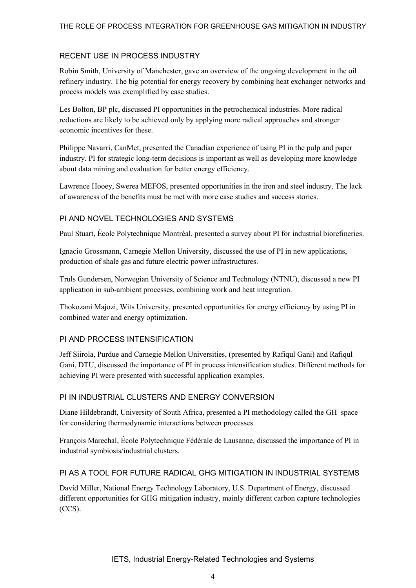#### RECENT USE IN PROCESS INDUSTRY

Robin Smith, University of Manchester, gave an overview of the ongoing development in the oil refinery industry. The big potential for energy recovery by combining heat exchanger networks and process models was exemplified by case studies.

Les Bolton, BP plc, discussed PI opportunities in the petrochemical industries. More radical reductions are likely to be achieved only by applying more radical approaches and stronger economic incentives for these.

Philippe Navarri, CanMet, presented the Canadian experience of using PI in the pulp and paper industry. PI for strategic long-term decisions is important as well as developing more knowledge about data mining and evaluation for better energy efficiency.

Lawrence Hooey, Swerea MEFOS, presented opportunities in the iron and steel industry. The lack of awareness of the benefits must be met with more case studies and success stories.

#### PI AND NOVEL TECHNOLOGIES AND SYSTEMS

Paul Stuart, École Polytechnique Montréal, presented a survey about PI for industrial biorefineries.

Ignacio Grossmann, Carnegie Mellon University, discussed the use of PI in new applications, production of shale gas and future electric power infrastructures.

Truls Gundersen, Norwegian University of Science and Technology (NTNU), discussed a new PI application in sub-ambient processes, combining work and heat integration.

Thokozani Majozi, Wits University, presented opportunities for energy efficiency by using PI in combined water and energy optimization.

#### PI AND PROCESS INTENSIFICATION

Jeff Siirola, Purdue and Carnegie Mellon Universities, (presented by Rafiqul Gani) and Rafiqul Gani, DTU, discussed the importance of PI in process intensification studies. Different methods for achieving PI were presented with successful application examples.

#### PI IN INDUSTRIAL CLUSTERS AND ENERGY CONVERSION

Diane Hildebrandt, University of South Africa, presented a PI methodology called the GH–space for considering thermodynamic interactions between processes

François Marechal, École Polytechnique Fédérale de Lausanne, discussed the importance of PI in industrial symbiosis/industrial clusters.

#### PI AS A TOOL FOR FUTURE RADICAL GHG MITIGATION IN INDUSTRIAL SYSTEMS

David Miller, National Energy Technology Laboratory, U.S. Department of Energy, discussed different opportunities for GHG mitigation industry, mainly different carbon capture technologies (CCS).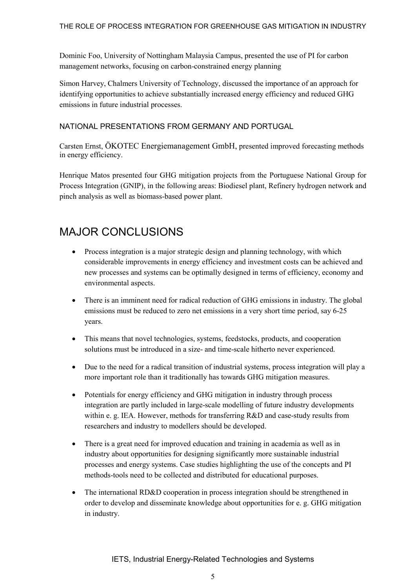Dominic Foo, University of Nottingham Malaysia Campus, presented the use of PI for carbon management networks, focusing on carbon-constrained energy planning

Simon Harvey, Chalmers University of Technology, discussed the importance of an approach for identifying opportunities to achieve substantially increased energy efficiency and reduced GHG emissions in future industrial processes.

#### NATIONAL PRESENTATIONS FROM GERMANY AND PORTUGAL

Carsten Ernst, ÖKOTEC Energiemanagement GmbH, presented improved forecasting methods in energy efficiency.

Henrique Matos presented four GHG mitigation projects from the Portuguese National Group for Process Integration (GNIP), in the following areas: Biodiesel plant, Refinery hydrogen network and pinch analysis as well as biomass-based power plant.

### MAJOR CONCLUSIONS

- Process integration is a major strategic design and planning technology, with which considerable improvements in energy efficiency and investment costs can be achieved and new processes and systems can be optimally designed in terms of efficiency, economy and environmental aspects.
- There is an imminent need for radical reduction of GHG emissions in industry. The global emissions must be reduced to zero net emissions in a very short time period, say 6-25 years.
- This means that novel technologies, systems, feedstocks, products, and cooperation solutions must be introduced in a size- and time-scale hitherto never experienced.
- Due to the need for a radical transition of industrial systems, process integration will play a more important role than it traditionally has towards GHG mitigation measures.
- Potentials for energy efficiency and GHG mitigation in industry through process integration are partly included in large-scale modelling of future industry developments within e. g. IEA. However, methods for transferring R&D and case-study results from researchers and industry to modellers should be developed.
- There is a great need for improved education and training in academia as well as in industry about opportunities for designing significantly more sustainable industrial processes and energy systems. Case studies highlighting the use of the concepts and PI methods-tools need to be collected and distributed for educational purposes.
- The international RD&D cooperation in process integration should be strengthened in order to develop and disseminate knowledge about opportunities for e. g. GHG mitigation in industry.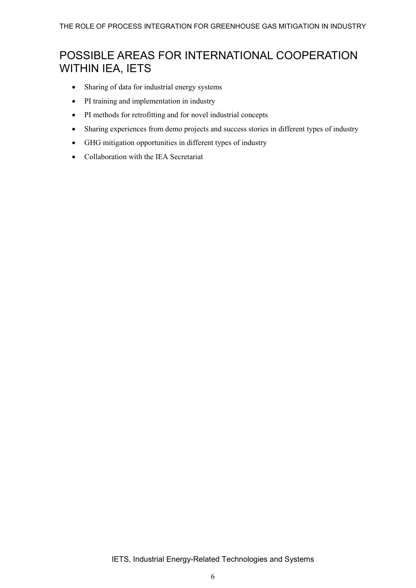### POSSIBLE AREAS FOR INTERNATIONAL COOPERATION WITHIN IEA, IETS

- Sharing of data for industrial energy systems
- PI training and implementation in industry
- PI methods for retrofitting and for novel industrial concepts
- Sharing experiences from demo projects and success stories in different types of industry
- GHG mitigation opportunities in different types of industry
- Collaboration with the IEA Secretariat